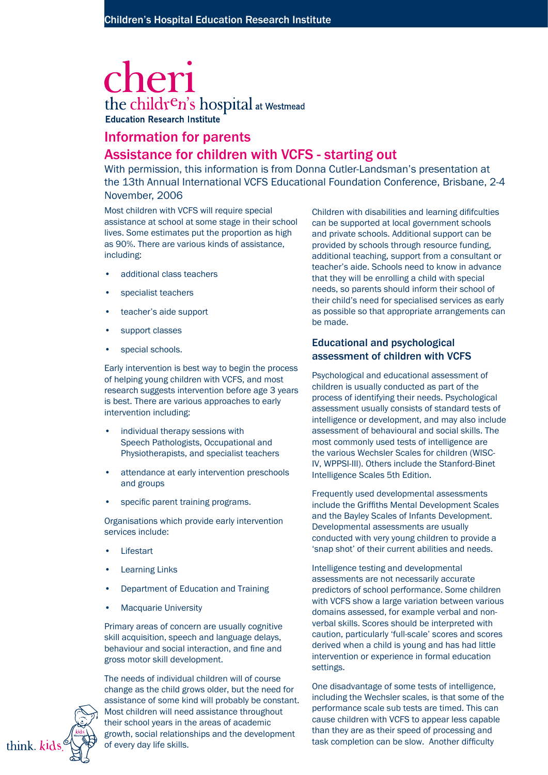# cheri the children's hospital at Westmead **Education Research Institute**

## Information for parents

### Assistance for children with VCFS - starting out

With permission, this information is from Donna Cutler-Landsman's presentation at the 13th Annual International VCFS Educational Foundation Conference, Brisbane, 2-4 November, 2006

Most children with VCFS will require special assistance at school at some stage in their school lives. Some estimates put the proportion as high as 90%. There are various kinds of assistance, including:

- additional class teachers •
- specialist teachers •
- teacher's aide support •
- support classes •
- special schools. •

Early intervention is best way to begin the process of helping young children with VCFS, and most research suggests intervention before age 3 years is best. There are various approaches to early intervention including:

- individual therapy sessions with Speech Pathologists, Occupational and Physiotherapists, and specialist teachers •
- attendance at early intervention preschools and groups •
- specific parent training programs. •

Organisations which provide early intervention services include:

- Lifestart •
- Learning Links •
- Department of Education and Training •
- Macquarie University •

Primary areas of concern are usually cognitive skill acquisition, speech and language delays, behaviour and social interaction, and fine and gross motor skill development.



The needs of individual children will of course change as the child grows older, but the need for assistance of some kind will probably be constant. Most children will need assistance throughout their school years in the areas of academic growth, social relationships and the development of every day life skills.

Children with disabilities and learning dififculties can be supported at local government schools and private schools. Additional support can be provided by schools through resource funding, additional teaching, support from a consultant or teacher's aide. Schools need to know in advance that they will be enrolling a child with special needs, so parents should inform their school of their child's need for specialised services as early as possible so that appropriate arrangements can be made.

#### Educational and psychological assessment of children with VCFS

Psychological and educational assessment of children is usually conducted as part of the process of identifying their needs. Psychological assessment usually consists of standard tests of intelligence or development, and may also include assessment of behavioural and social skills. The most commonly used tests of intelligence are the various Wechsler Scales for children (WISC-IV, WPPSI-III). Others include the Stanford-Binet Intelligence Scales 5th Edition.

Frequently used developmental assessments include the Griffiths Mental Development Scales and the Bayley Scales of Infants Development. Developmental assessments are usually conducted with very young children to provide a 'snap shot' of their current abilities and needs.

Intelligence testing and developmental assessments are not necessarily accurate predictors of school performance. Some children with VCFS show a large variation between various domains assessed, for example verbal and nonverbal skills. Scores should be interpreted with caution, particularly 'full-scale' scores and scores derived when a child is young and has had little intervention or experience in formal education settings.

One disadvantage of some tests of intelligence, including the Wechsler scales, is that some of the performance scale sub tests are timed. This can cause children with VCFS to appear less capable than they are as their speed of processing and task completion can be slow. Another difficulty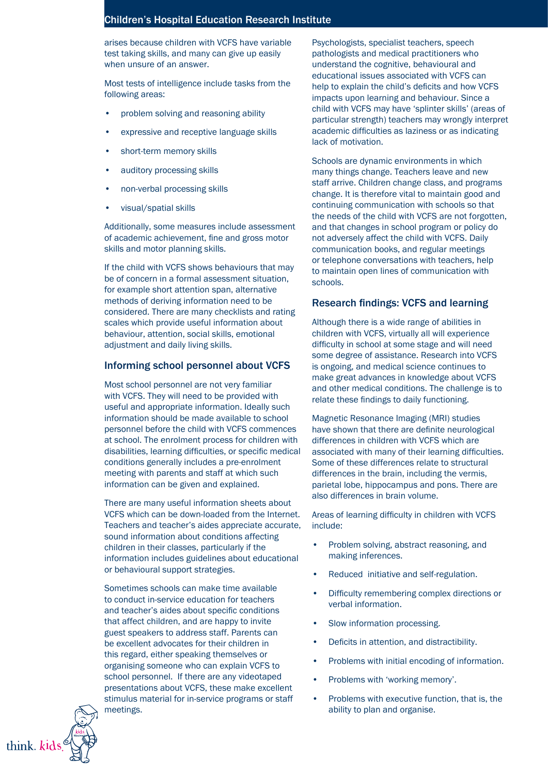arises because children with VCFS have variable test taking skills, and many can give up easily when unsure of an answer.

Most tests of intelligence include tasks from the following areas:

- problem solving and reasoning ability •
- expressive and receptive language skills •
- short-term memory skills •
- auditory processing skills •
- non-verbal processing skills •
- visual/spatial skills •

Additionally, some measures include assessment of academic achievement, fine and gross motor skills and motor planning skills.

If the child with VCFS shows behaviours that may be of concern in a formal assessment situation, for example short attention span, alternative methods of deriving information need to be considered. There are many checklists and rating scales which provide useful information about behaviour, attention, social skills, emotional adjustment and daily living skills.

#### Informing school personnel about VCFS

Most school personnel are not very familiar with VCFS. They will need to be provided with useful and appropriate information. Ideally such information should be made available to school personnel before the child with VCFS commences at school. The enrolment process for children with disabilities, learning difficulties, or specific medical conditions generally includes a pre-enrolment meeting with parents and staff at which such information can be given and explained.

There are many useful information sheets about VCFS which can be down-loaded from the Internet. Teachers and teacher's aides appreciate accurate, sound information about conditions affecting children in their classes, particularly if the information includes guidelines about educational or behavioural support strategies.

Sometimes schools can make time available to conduct in-service education for teachers and teacher's aides about specific conditions that affect children, and are happy to invite guest speakers to address staff. Parents can be excellent advocates for their children in this regard, either speaking themselves or organising someone who can explain VCFS to school personnel. If there are any videotaped presentations about VCFS, these make excellent stimulus material for in-service programs or staff meetings.



Psychologists, specialist teachers, speech pathologists and medical practitioners who understand the cognitive, behavioural and educational issues associated with VCFS can help to explain the child's deficits and how VCFS impacts upon learning and behaviour. Since a child with VCFS may have 'splinter skills' (areas of particular strength) teachers may wrongly interpret academic difficulties as laziness or as indicating lack of motivation.

Schools are dynamic environments in which many things change. Teachers leave and new staff arrive. Children change class, and programs change. It is therefore vital to maintain good and continuing communication with schools so that the needs of the child with VCFS are not forgotten, and that changes in school program or policy do not adversely affect the child with VCFS. Daily communication books, and regular meetings or telephone conversations with teachers, help to maintain open lines of communication with schools.

#### Research findings: VCFS and learning

Although there is a wide range of abilities in children with VCFS, virtually all will experience difficulty in school at some stage and will need some degree of assistance. Research into VCFS is ongoing, and medical science continues to make great advances in knowledge about VCFS and other medical conditions. The challenge is to relate these findings to daily functioning.

Magnetic Resonance Imaging (MRI) studies have shown that there are definite neurological differences in children with VCFS which are associated with many of their learning difficulties. Some of these differences relate to structural differences in the brain, including the vermis, parietal lobe, hippocampus and pons. There are also differences in brain volume.

Areas of learning difficulty in children with VCFS include:

- Problem solving, abstract reasoning, and making inferences. •
- Reduced initiative and self-regulation. •
- Difficulty remembering complex directions or verbal information. •
- Slow information processing. •
- Deficits in attention, and distractibility. •
- Problems with initial encoding of information. •
- Problems with 'working memory'. •
- Problems with executive function, that is, the ability to plan and organise. •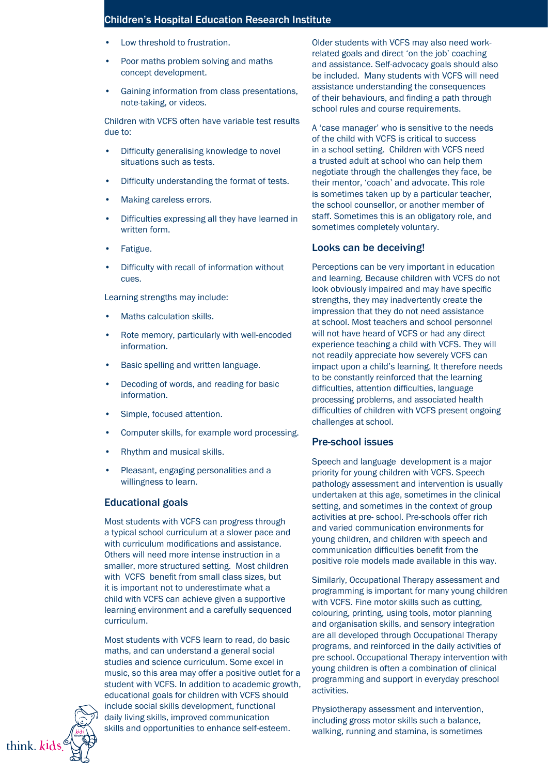- Low threshold to frustration. •
- Poor maths problem solving and maths concept development. •
- Gaining information from class presentations, note-taking, or videos. •

Children with VCFS often have variable test results due to:

- Difficulty generalising knowledge to novel situations such as tests. •
- Difficulty understanding the format of tests. •
- Making careless errors. •
- Difficulties expressing all they have learned in written form. •
- Fatigue. •
- Difficulty with recall of information without cues. •

Learning strengths may include:

- Maths calculation skills. •
- Rote memory, particularly with well-encoded information. •
- Basic spelling and written language. •
- Decoding of words, and reading for basic information. •
- Simple, focused attention. •
- Computer skills, for example word processing. •
- Rhythm and musical skills. •
- Pleasant, engaging personalities and a willingness to learn. •

#### Educational goals

Most students with VCFS can progress through a typical school curriculum at a slower pace and with curriculum modifications and assistance. Others will need more intense instruction in a smaller, more structured setting. Most children with VCFS benefit from small class sizes, but it is important not to underestimate what a child with VCFS can achieve given a supportive learning environment and a carefully sequenced curriculum.

Most students with VCFS learn to read, do basic maths, and can understand a general social studies and science curriculum. Some excel in music, so this area may offer a positive outlet for a student with VCFS. In addition to academic growth, educational goals for children with VCFS should include social skills development, functional daily living skills, improved communication skills and opportunities to enhance self-esteem.

Older students with VCFS may also need workrelated goals and direct 'on the job' coaching and assistance. Self-advocacy goals should also be included. Many students with VCFS will need assistance understanding the consequences of their behaviours, and finding a path through school rules and course requirements.

A 'case manager' who is sensitive to the needs of the child with VCFS is critical to success in a school setting. Children with VCFS need a trusted adult at school who can help them negotiate through the challenges they face, be their mentor, 'coach' and advocate. This role is sometimes taken up by a particular teacher, the school counsellor, or another member of staff. Sometimes this is an obligatory role, and sometimes completely voluntary.

#### Looks can be deceiving!

Perceptions can be very important in education and learning. Because children with VCFS do not look obviously impaired and may have specific strengths, they may inadvertently create the impression that they do not need assistance at school. Most teachers and school personnel will not have heard of VCFS or had any direct experience teaching a child with VCFS. They will not readily appreciate how severely VCFS can impact upon a child's learning. It therefore needs to be constantly reinforced that the learning difficulties, attention difficulties, language processing problems, and associated health difficulties of children with VCFS present ongoing challenges at school.

#### Pre-school issues

Speech and language development is a major priority for young children with VCFS. Speech pathology assessment and intervention is usually undertaken at this age, sometimes in the clinical setting, and sometimes in the context of group activities at pre- school. Pre-schools offer rich and varied communication environments for young children, and children with speech and communication difficulties benefit from the positive role models made available in this way.

Similarly, Occupational Therapy assessment and programming is important for many young children with VCFS. Fine motor skills such as cutting, colouring, printing, using tools, motor planning and organisation skills, and sensory integration are all developed through Occupational Therapy programs, and reinforced in the daily activities of pre school. Occupational Therapy intervention with young children is often a combination of clinical programming and support in everyday preschool activities.

Physiotherapy assessment and intervention, including gross motor skills such a balance, walking, running and stamina, is sometimes

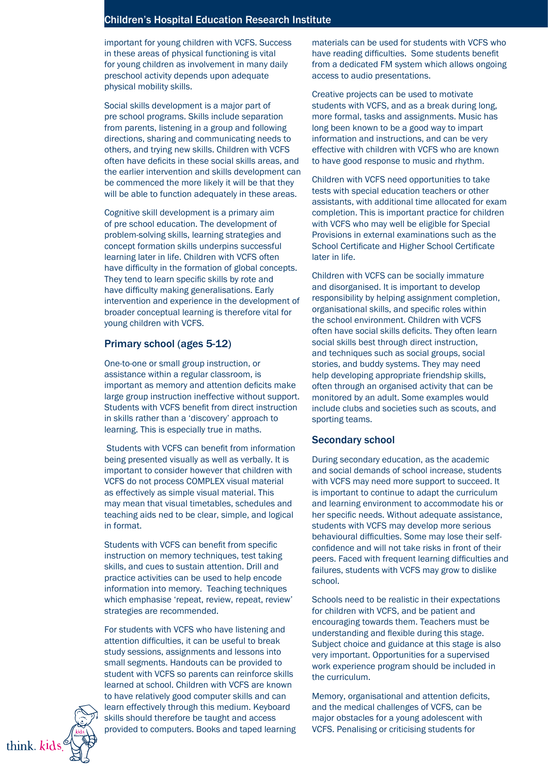important for young children with VCFS. Success in these areas of physical functioning is vital for young children as involvement in many daily preschool activity depends upon adequate physical mobility skills.

Social skills development is a major part of pre school programs. Skills include separation from parents, listening in a group and following directions, sharing and communicating needs to others, and trying new skills. Children with VCFS often have deficits in these social skills areas, and the earlier intervention and skills development can be commenced the more likely it will be that they will be able to function adequately in these areas.

Cognitive skill development is a primary aim of pre school education. The development of problem-solving skills, learning strategies and concept formation skills underpins successful learning later in life. Children with VCFS often have difficulty in the formation of global concepts. They tend to learn specific skills by rote and have difficulty making generalisations. Early intervention and experience in the development of broader conceptual learning is therefore vital for young children with VCFS.

#### Primary school (ages 5-12)

One-to-one or small group instruction, or assistance within a regular classroom, is important as memory and attention deficits make large group instruction ineffective without support. Students with VCFS benefit from direct instruction in skills rather than a 'discovery' approach to learning. This is especially true in maths.

 Students with VCFS can benefit from information being presented visually as well as verbally. It is important to consider however that children with VCFS do not process COMPLEX visual material as effectively as simple visual material. This may mean that visual timetables, schedules and teaching aids ned to be clear, simple, and logical in format.

Students with VCFS can benefit from specific instruction on memory techniques, test taking skills, and cues to sustain attention. Drill and practice activities can be used to help encode information into memory. Teaching techniques which emphasise 'repeat, review, repeat, review' strategies are recommended.

For students with VCFS who have listening and attention difficulties, it can be useful to break study sessions, assignments and lessons into small segments. Handouts can be provided to student with VCFS so parents can reinforce skills learned at school. Children with VCFS are known to have relatively good computer skills and can learn effectively through this medium. Keyboard skills should therefore be taught and access provided to computers. Books and taped learning materials can be used for students with VCFS who have reading difficulties. Some students benefit from a dedicated FM system which allows ongoing access to audio presentations.

Creative projects can be used to motivate students with VCFS, and as a break during long, more formal, tasks and assignments. Music has long been known to be a good way to impart information and instructions, and can be very effective with children with VCFS who are known to have good response to music and rhythm.

Children with VCFS need opportunities to take tests with special education teachers or other assistants, with additional time allocated for exam completion. This is important practice for children with VCFS who may well be eligible for Special Provisions in external examinations such as the School Certificate and Higher School Certificate later in life.

Children with VCFS can be socially immature and disorganised. It is important to develop responsibility by helping assignment completion, organisational skills, and specific roles within the school environment. Children with VCFS often have social skills deficits. They often learn social skills best through direct instruction, and techniques such as social groups, social stories, and buddy systems. They may need help developing appropriate friendship skills, often through an organised activity that can be monitored by an adult. Some examples would include clubs and societies such as scouts, and sporting teams.

#### Secondary school

During secondary education, as the academic and social demands of school increase, students with VCFS may need more support to succeed. It is important to continue to adapt the curriculum and learning environment to accommodate his or her specific needs. Without adequate assistance, students with VCFS may develop more serious behavioural difficulties. Some may lose their selfconfidence and will not take risks in front of their peers. Faced with frequent learning difficulties and failures, students with VCFS may grow to dislike school.

Schools need to be realistic in their expectations for children with VCFS, and be patient and encouraging towards them. Teachers must be understanding and flexible during this stage. Subject choice and guidance at this stage is also very important. Opportunities for a supervised work experience program should be included in the curriculum.

Memory, organisational and attention deficits, and the medical challenges of VCFS, can be major obstacles for a young adolescent with VCFS. Penalising or criticising students for